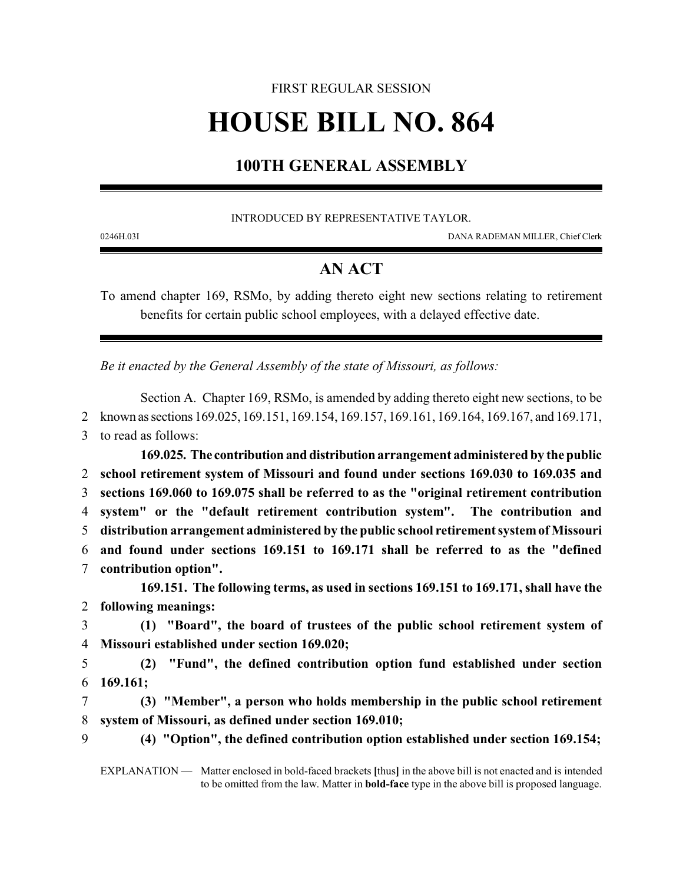## FIRST REGULAR SESSION **HOUSE BILL NO. 864**

## **100TH GENERAL ASSEMBLY**

INTRODUCED BY REPRESENTATIVE TAYLOR.

0246H.03I DANA RADEMAN MILLER, Chief Clerk

## **AN ACT**

To amend chapter 169, RSMo, by adding thereto eight new sections relating to retirement benefits for certain public school employees, with a delayed effective date.

*Be it enacted by the General Assembly of the state of Missouri, as follows:*

Section A. Chapter 169, RSMo, is amended by adding thereto eight new sections, to be 2 known assections 169.025, 169.151, 169.154, 169.157, 169.161, 169.164, 169.167, and 169.171, 3 to read as follows:

**169.025. The contribution and distribution arrangement administered by the public school retirement system of Missouri and found under sections 169.030 to 169.035 and sections 169.060 to 169.075 shall be referred to as the "original retirement contribution system" or the "default retirement contribution system". The contribution and distribution arrangement administered by the public school retirement systemofMissouri and found under sections 169.151 to 169.171 shall be referred to as the "defined contribution option". 169.151. The following terms, as used in sections 169.151 to 169.171, shall have the following meanings: (1) "Board", the board of trustees of the public school retirement system of Missouri established under section 169.020; (2) "Fund", the defined contribution option fund established under section**

6 **169.161;**

7 **(3) "Member", a person who holds membership in the public school retirement** 8 **system of Missouri, as defined under section 169.010;**

9 **(4) "Option", the defined contribution option established under section 169.154;**

EXPLANATION — Matter enclosed in bold-faced brackets **[**thus**]** in the above bill is not enacted and is intended to be omitted from the law. Matter in **bold-face** type in the above bill is proposed language.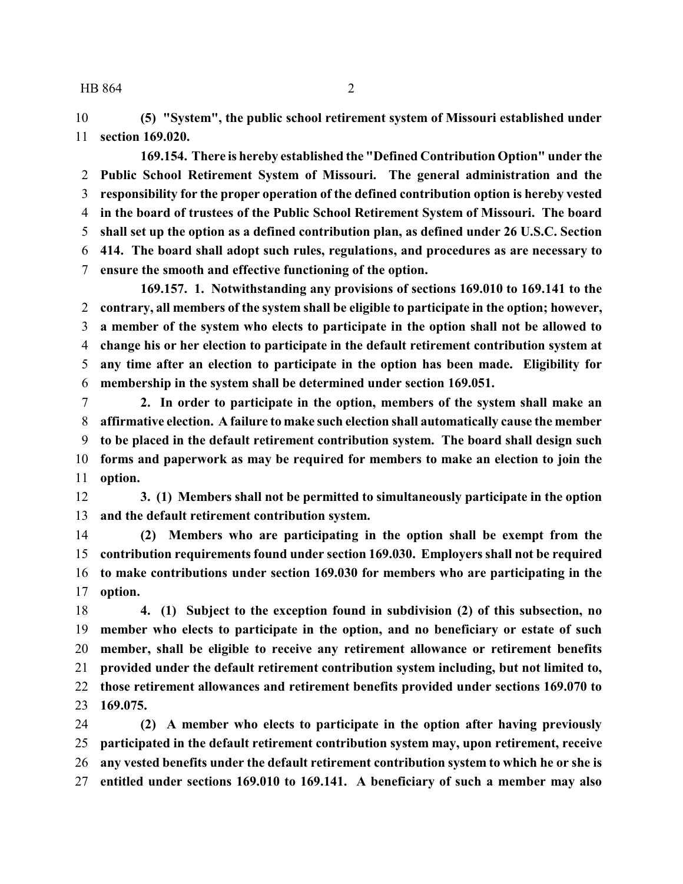**(5) "System", the public school retirement system of Missouri established under section 169.020.**

**169.154. There is hereby established the "Defined Contribution Option" under the Public School Retirement System of Missouri. The general administration and the responsibility for the proper operation of the defined contribution option is hereby vested in the board of trustees of the Public School Retirement System of Missouri. The board shall set up the option as a defined contribution plan, as defined under 26 U.S.C. Section 414. The board shall adopt such rules, regulations, and procedures as are necessary to ensure the smooth and effective functioning of the option.**

**169.157. 1. Notwithstanding any provisions of sections 169.010 to 169.141 to the contrary, all members of the system shall be eligible to participate in the option; however, a member of the system who elects to participate in the option shall not be allowed to change his or her election to participate in the default retirement contribution system at any time after an election to participate in the option has been made. Eligibility for membership in the system shall be determined under section 169.051.**

 **2. In order to participate in the option, members of the system shall make an affirmative election. A failure to make such election shall automatically cause the member to be placed in the default retirement contribution system. The board shall design such forms and paperwork as may be required for members to make an election to join the option.**

 **3. (1) Members shall not be permitted to simultaneously participate in the option and the default retirement contribution system.**

 **(2) Members who are participating in the option shall be exempt from the contribution requirements found under section 169.030. Employers shall not be required to make contributions under section 169.030 for members who are participating in the option.**

 **4. (1) Subject to the exception found in subdivision (2) of this subsection, no member who elects to participate in the option, and no beneficiary or estate of such member, shall be eligible to receive any retirement allowance or retirement benefits provided under the default retirement contribution system including, but not limited to, those retirement allowances and retirement benefits provided under sections 169.070 to 169.075.**

 **(2) A member who elects to participate in the option after having previously participated in the default retirement contribution system may, upon retirement, receive any vested benefits under the default retirement contribution system to which he or she is entitled under sections 169.010 to 169.141. A beneficiary of such a member may also**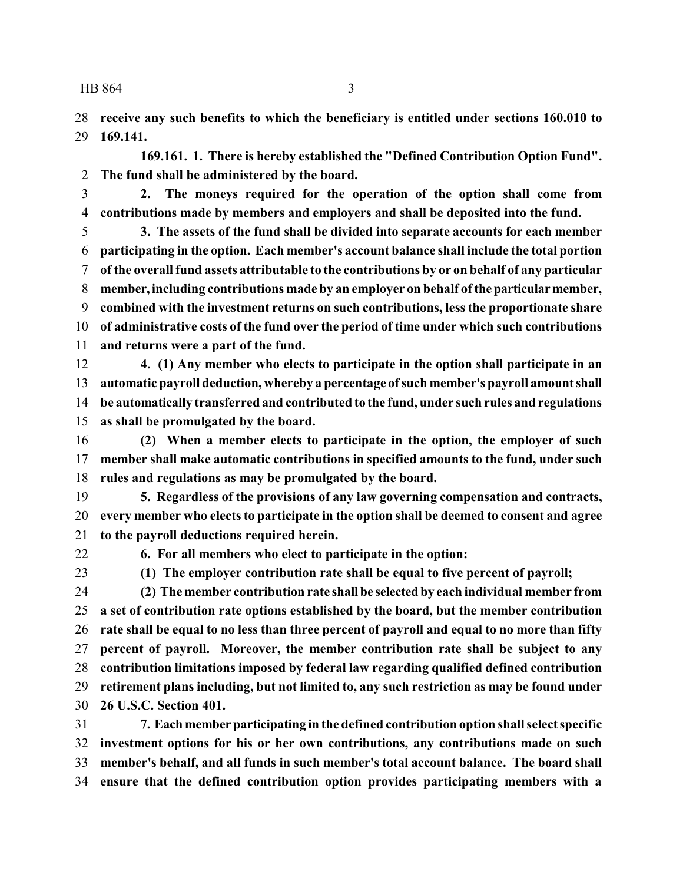**receive any such benefits to which the beneficiary is entitled under sections 160.010 to 169.141.**

**169.161. 1. There is hereby established the "Defined Contribution Option Fund". The fund shall be administered by the board.**

 **2. The moneys required for the operation of the option shall come from contributions made by members and employers and shall be deposited into the fund.**

 **3. The assets of the fund shall be divided into separate accounts for each member participating in the option. Each member's account balance shall include the total portion of the overall fund assets attributable to the contributions by or on behalf of any particular member,including contributions made by an employer on behalf oftheparticularmember, combined with the investment returns on such contributions, less the proportionate share of administrative costs of the fund over the period of time under which such contributions and returns were a part of the fund.**

 **4. (1) Any member who elects to participate in the option shall participate in an automatic payroll deduction, whereby a percentage ofsuch member's payroll amountshall be automatically transferred and contributed to the fund, under such rules and regulations as shall be promulgated by the board.**

 **(2) When a member elects to participate in the option, the employer of such member shall make automatic contributions in specified amounts to the fund, under such rules and regulations as may be promulgated by the board.**

 **5. Regardless of the provisions of any law governing compensation and contracts, every member who elects to participate in the option shall be deemed to consent and agree to the payroll deductions required herein.**

**6. For all members who elect to participate in the option:**

**(1) The employer contribution rate shall be equal to five percent of payroll;**

 **(2) The member contribution rate shall be selected by each individual member from a set of contribution rate options established by the board, but the member contribution rate shall be equal to no less than three percent of payroll and equal to no more than fifty percent of payroll. Moreover, the member contribution rate shall be subject to any contribution limitations imposed by federal law regarding qualified defined contribution retirement plans including, but not limited to, any such restriction as may be found under 26 U.S.C. Section 401.**

 **7. Each memberparticipating in the defined contribution option shall select specific investment options for his or her own contributions, any contributions made on such member's behalf, and all funds in such member's total account balance. The board shall ensure that the defined contribution option provides participating members with a**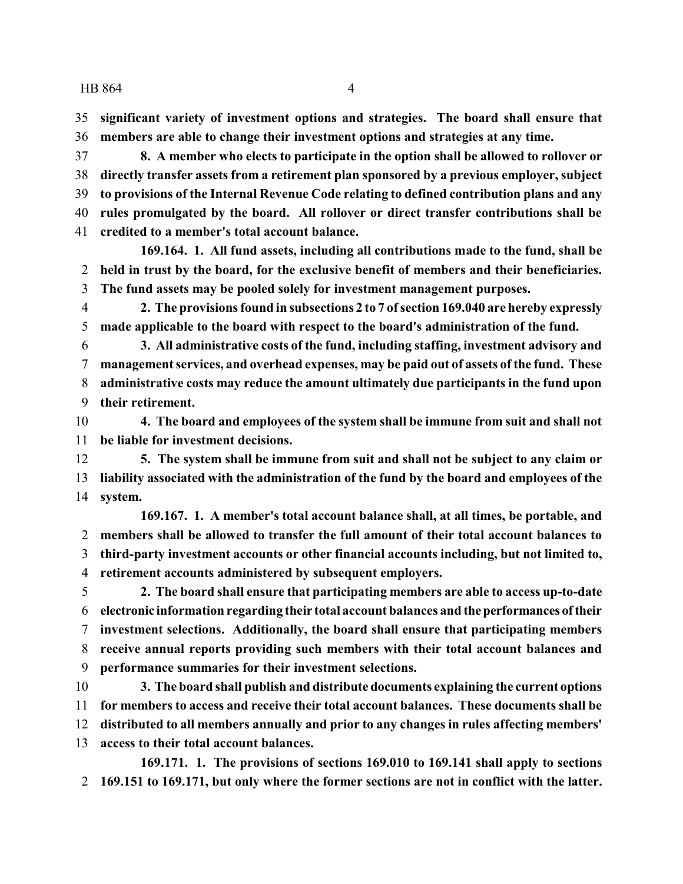**significant variety of investment options and strategies. The board shall ensure that members are able to change their investment options and strategies at any time.**

 **8. A member who elects to participate in the option shall be allowed to rollover or directly transfer assets from a retirement plan sponsored by a previous employer, subject to provisions of the Internal Revenue Code relating to defined contribution plans and any rules promulgated by the board. All rollover or direct transfer contributions shall be credited to a member's total account balance.**

**169.164. 1. All fund assets, including all contributions made to the fund, shall be held in trust by the board, for the exclusive benefit of members and their beneficiaries. The fund assets may be pooled solely for investment management purposes.**

 **2. The provisions found in subsections 2 to 7 ofsection 169.040 are hereby expressly made applicable to the board with respect to the board's administration of the fund.**

 **3. All administrative costs of the fund, including staffing, investment advisory and management services, and overhead expenses, may be paid out of assets of the fund. These administrative costs may reduce the amount ultimately due participants in the fund upon their retirement.**

 **4. The board and employees of the system shall be immune from suit and shall not be liable for investment decisions.**

 **5. The system shall be immune from suit and shall not be subject to any claim or liability associated with the administration of the fund by the board and employees of the system.**

**169.167. 1. A member's total account balance shall, at all times, be portable, and members shall be allowed to transfer the full amount of their total account balances to third-party investment accounts or other financial accounts including, but not limited to, retirement accounts administered by subsequent employers.**

 **2. The board shall ensure that participating members are able to access up-to-date electronic information regarding their total account balances and theperformances of their investment selections. Additionally, the board shall ensure that participating members receive annual reports providing such members with their total account balances and performance summaries for their investment selections.**

 **3. The board shall publish and distribute documents explaining the current options for members to access and receive their total account balances. These documents shall be distributed to all members annually and prior to any changes in rules affecting members' access to their total account balances.**

**169.171. 1. The provisions of sections 169.010 to 169.141 shall apply to sections 169.151 to 169.171, but only where the former sections are not in conflict with the latter.**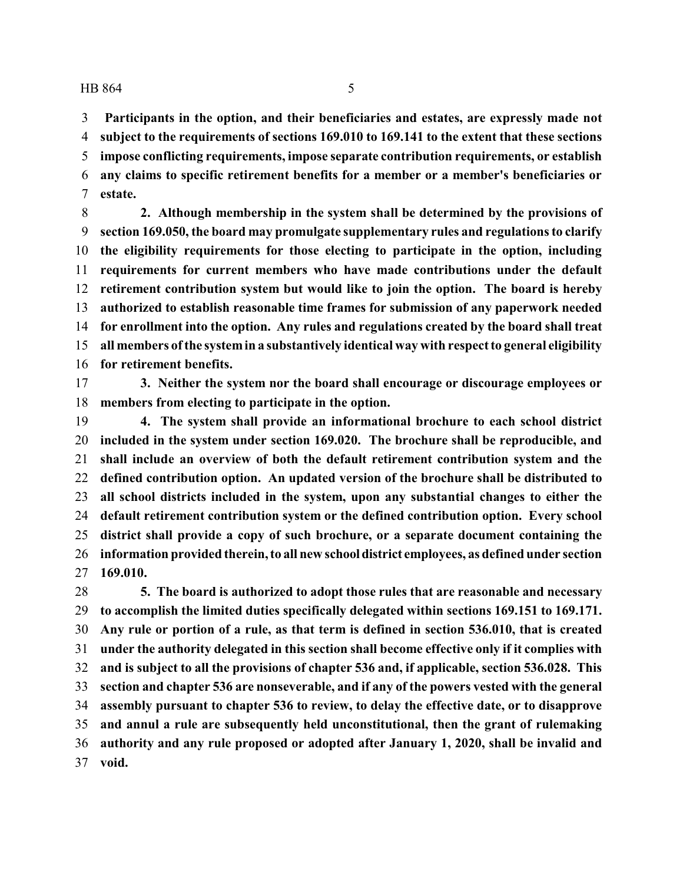**Participants in the option, and their beneficiaries and estates, are expressly made not subject to the requirements of sections 169.010 to 169.141 to the extent that these sections impose conflicting requirements, impose separate contribution requirements, or establish any claims to specific retirement benefits for a member or a member's beneficiaries or estate.**

 **2. Although membership in the system shall be determined by the provisions of section 169.050, the board may promulgate supplementary rules and regulations to clarify the eligibility requirements for those electing to participate in the option, including requirements for current members who have made contributions under the default retirement contribution system but would like to join the option. The board is hereby authorized to establish reasonable time frames for submission of any paperwork needed for enrollment into the option. Any rules and regulations created by the board shall treat all members ofthe systemin a substantively identical way with respect to general eligibility for retirement benefits.**

 **3. Neither the system nor the board shall encourage or discourage employees or members from electing to participate in the option.**

 **4. The system shall provide an informational brochure to each school district included in the system under section 169.020. The brochure shall be reproducible, and shall include an overview of both the default retirement contribution system and the defined contribution option. An updated version of the brochure shall be distributed to all school districts included in the system, upon any substantial changes to either the default retirement contribution system or the defined contribution option. Every school district shall provide a copy of such brochure, or a separate document containing the information provided therein, to all new school district employees, as defined under section 169.010.**

 **5. The board is authorized to adopt those rules that are reasonable and necessary to accomplish the limited duties specifically delegated within sections 169.151 to 169.171. Any rule or portion of a rule, as that term is defined in section 536.010, that is created under the authority delegated in this section shall become effective only if it complies with and is subject to all the provisions of chapter 536 and, if applicable, section 536.028. This section and chapter 536 are nonseverable, and if any of the powers vested with the general assembly pursuant to chapter 536 to review, to delay the effective date, or to disapprove and annul a rule are subsequently held unconstitutional, then the grant of rulemaking authority and any rule proposed or adopted after January 1, 2020, shall be invalid and void.**